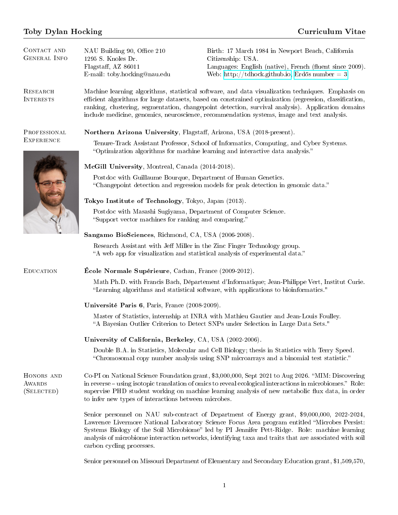## Toby Dylan Hocking Curriculum Vitae

| CONTACT AND<br><b>GENERAL INFO</b>        | NAU Building 90, Office 210<br>1295 S. Knoles Dr.<br>Flagstaff, AZ 86011<br>E-mail: toby.hocking@nau.edu                                                                                                                                                                                                                                                                                                        | Birth: 17 March 1984 in Newport Beach, California<br>Citizenship: USA.<br>Languages: English (native), French (fluent since 2009).<br>Web: http://tdhock.github.io, Erdős number = 3.                                                                                                                                                                                                                   |
|-------------------------------------------|-----------------------------------------------------------------------------------------------------------------------------------------------------------------------------------------------------------------------------------------------------------------------------------------------------------------------------------------------------------------------------------------------------------------|---------------------------------------------------------------------------------------------------------------------------------------------------------------------------------------------------------------------------------------------------------------------------------------------------------------------------------------------------------------------------------------------------------|
| RESEARCH<br><b>INTERESTS</b>              | Machine learning algorithms, statistical software, and data visualization techniques. Emphasis on<br>efficient algorithms for large datasets, based on constrained optimization (regression, classification,<br>ranking, clustering, segmentation, changepoint detection, survival analysis). Application domains<br>include medicine, genomics, neuroscience, recommendation systems, image and text analysis. |                                                                                                                                                                                                                                                                                                                                                                                                         |
| PROFESSIONAL<br><b>EXPERIENCE</b>         | Northern Arizona University, Flagstaff, Arizona, USA (2018-present).<br>Tenure-Track Assistant Professor, School of Informatics, Computing, and Cyber Systems.<br>"Optimization algorithms for machine learning and interactive data analysis."                                                                                                                                                                 |                                                                                                                                                                                                                                                                                                                                                                                                         |
|                                           | McGill University, Montreal, Canada (2014-2018).                                                                                                                                                                                                                                                                                                                                                                |                                                                                                                                                                                                                                                                                                                                                                                                         |
|                                           | Postdoc with Guillaume Bourque, Department of Human Genetics.<br>"Changepoint detection and regression models for peak detection in genomic data."                                                                                                                                                                                                                                                              |                                                                                                                                                                                                                                                                                                                                                                                                         |
|                                           | Tokyo Institute of Technology, Tokyo, Japan (2013).                                                                                                                                                                                                                                                                                                                                                             |                                                                                                                                                                                                                                                                                                                                                                                                         |
|                                           | Postdoc with Masashi Sugiyama, Department of Computer Science.<br>"Support vector machines for ranking and comparing."                                                                                                                                                                                                                                                                                          |                                                                                                                                                                                                                                                                                                                                                                                                         |
|                                           | Sangamo BioSciences, Richmond, CA, USA (2006-2008).                                                                                                                                                                                                                                                                                                                                                             |                                                                                                                                                                                                                                                                                                                                                                                                         |
|                                           | Research Assistant with Jeff Miller in the Zinc Finger Technology group.<br>"A web app for visualization and statistical analysis of experimental data."                                                                                                                                                                                                                                                        |                                                                                                                                                                                                                                                                                                                                                                                                         |
| <b>EDUCATION</b>                          | <b>École Normale Supérieure</b> , Cachan, France (2009-2012).                                                                                                                                                                                                                                                                                                                                                   |                                                                                                                                                                                                                                                                                                                                                                                                         |
|                                           |                                                                                                                                                                                                                                                                                                                                                                                                                 | Math Ph.D. with Francis Bach, Département d'Informatique; Jean-Philippe Vert, Institut Curie.<br>"Learning algorithms and statistical software, with applications to bioinformatics."                                                                                                                                                                                                                   |
|                                           | Université Paris 6, Paris, France (2008-2009).                                                                                                                                                                                                                                                                                                                                                                  |                                                                                                                                                                                                                                                                                                                                                                                                         |
|                                           |                                                                                                                                                                                                                                                                                                                                                                                                                 | Master of Statistics, internship at INRA with Mathieu Gautier and Jean-Louis Foulley.<br>"A Bayesian Outlier Criterion to Detect SNPs under Selection in Large Data Sets."                                                                                                                                                                                                                              |
|                                           | University of California, Berkeley, CA, USA (2002-2006).                                                                                                                                                                                                                                                                                                                                                        |                                                                                                                                                                                                                                                                                                                                                                                                         |
|                                           |                                                                                                                                                                                                                                                                                                                                                                                                                 | Double B.A. in Statistics, Molecular and Cell Biology; thesis in Statistics with Terry Speed.<br>"Chromosomal copy number analysis using SNP microarrays and a binomial test statistic."                                                                                                                                                                                                                |
| HONORS AND<br><b>AWARDS</b><br>(SELECTED) | to infer new types of interactions between microbes.                                                                                                                                                                                                                                                                                                                                                            | Co-PI on National Science Foundation grant, \$3,000,000, Sept 2021 to Aug 2026. "MIM: Discovering<br>in reverse – using isotopic translation of omics to reveal ecological interactions in microbiomes." Role:<br>supervise PHD student working on machine learning analysis of new metabolic flux data, in order                                                                                       |
|                                           | carbon cycling processes.                                                                                                                                                                                                                                                                                                                                                                                       | Senior personnel on NAU sub-contract of Department of Energy grant, \$9,000,000, 2022-2024,<br>Lawrence Livermore National Laboratory Science Focus Area program entitled "Microbes Persist:<br>Systems Biology of the Soil Microbiome" led by PI Jennifer Pett-Ridge. Role: machine learning<br>analysis of microbiome interaction networks, identifying taxa and traits that are associated with soil |
|                                           |                                                                                                                                                                                                                                                                                                                                                                                                                 |                                                                                                                                                                                                                                                                                                                                                                                                         |

Senior personnel on Missouri Department of Elementary and Secondary Education grant, \$1,509,570,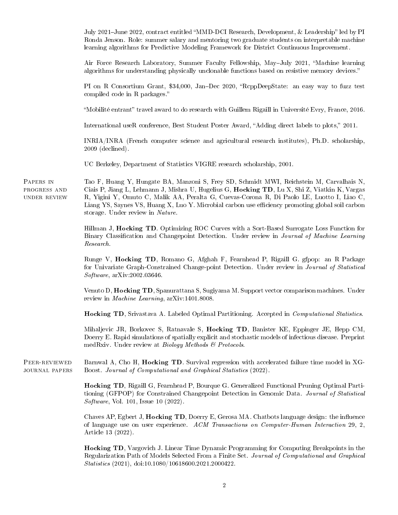July 2021-June 2022, contract entitled "MMD-DCI Research, Development, & Leadership" led by PI Ronda Jenson. Role: summer salary and mentoring two graduate students on interpretable machine learning algorithms for Predictive Modeling Framework for District Continuous Improvement. Air Force Research Laboratory, Summer Faculty Fellowship, May-July 2021, "Machine learning algorithms for understanding physically unclonable functions based on resistive memory devices. PI on R Consortium Grant, \$34,000, Jan-Dec 2020, "RcppDeepState: an easy way to fuzz test compiled code in R packages. "Mobilité entrant" travel award to do research with Guillem Rigaill in Université Evry, France, 2016. International useR conference, Best Student Poster Award, "Adding direct labels to plots," 2011. INRIA/INRA (French computer science and agricultural research institutes), Ph.D. scholarship, 2009 (declined). UC Berkeley, Department of Statistics VIGRE research scholarship, 2001. Papers in progress and under review Tao F, Huang Y, Hungate BA, Manzoni S, Frey SD, Schmidt MWI, Reichstein M, Carvalhais N, Ciais P, Jiang L, Lehmann J, Mishra U, Hugelius G, Hocking TD, Lu X, Shi Z, Viatkin K, Vargas R, Yigini Y, Omuto C, Malik AA, Peralta G, Cuevas-Corona R, Di Paolo LE, Luotto I, Liao C, Liang YS, Saynes VS, Huang X, Luo Y. Microbial carbon use efficiency promoting global soil carbon storage. Under review in Nature. Hillman J, Hocking TD. Optimizing ROC Curves with a Sort-Based Surrogate Loss Function for Binary Classication and Changepoint Detection. Under review in Journal of Machine Learning Research. Runge V, Hocking TD, Romano G, Afghah F, Fearnhead P, Rigaill G. gfpop: an R Package for Univariate Graph-Constrained Change-point Detection. Under review in Journal of Statistical Software, arXiv:2002.03646. Venuto D, Hocking TD, Spanurattana S, Sugiyama M. Support vector comparison machines. Under review in Machine Learning, arXiv:1401.8008. Hocking TD, Srivastava A. Labeled Optimal Partitioning. Accepted in Computational Statistics. Mihaljevic JR, Borkovec S, Ratnavale S, Hocking TD, Banister KE, Eppinger JE, Hepp CM, Doerry E. Rapid simulations of spatially explicit and stochastic models of infectious disease. Preprint medRxiv. Under review at *Biology Methods*  $\mathcal C$  *Protocols.* PEER-REVIEWED journal papers Barnwal A, Cho H, Hocking TD. Survival regression with accelerated failure time model in XG-Boost. Journal of Computational and Graphical Statistics (2022). Hocking TD, Rigaill G, Fearnhead P, Bourque G. Generalized Functional Pruning Optimal Partitioning (GFPOP) for Constrained Changepoint Detection in Genomic Data. Journal of Statistical Software, Vol. 101, Issue 10 (2022). Chaves AP, Egbert J, **Hocking TD**, Doerry E, Gerosa MA. Chatbots language design: the influence of language use on user experience. ACM Transactions on Computer-Human Interaction 29, 2, Article 13 (2022). Hocking TD, Vargovich J. Linear Time Dynamic Programming for Computing Breakpoints in the Regularization Path of Models Selected From a Finite Set. Journal of Computational and Graphical

Statistics (2021), doi:10.1080/10618600.2021.2000422.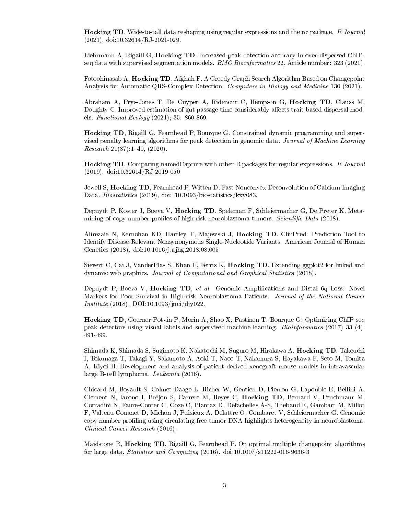Hocking TD. Wide-to-tall data reshaping using regular expressions and the nc package. R Journal (2021), doi:10.32614/RJ-2021-029.

Liehrmann A, Rigaill G, Hocking TD. Increased peak detection accuracy in over-dispersed ChIPseq data with supervised segmentation models. BMC Bioinformatics 22, Article number: 323 (2021).

Fotoohinasab A, Hocking TD, Afghah F. A Greedy Graph Search Algorithm Based on Changepoint Analysis for Automatic QRS-Complex Detection. Computers in Biology and Medicine 130 (2021).

Abraham A, Prys-Jones T, De Cuyper A, Ridenour C, Hempson G, Hocking TD, Clauss M, Doughty C. Improved estimation of gut passage time considerably affects trait-based dispersal models. Functional Ecology (2021); 35: 860-869.

Hocking TD, Rigaill G, Fearnhead P, Bourque G. Constrained dynamic programming and supervised penalty learning algorithms for peak detection in genomic data. Journal of Machine Learning  $Research 21(87):1-40, (2020).$ 

Hocking TD. Comparing namedCapture with other R packages for regular expressions. R Journal (2019). doi:10.32614/RJ-2019-050

Jewell S, Hocking TD, Fearnhead P, Witten D. Fast Nonconvex Deconvolution of Calcium Imaging Data. Biostatistics (2019), doi: 10.1093/biostatistics/kxy083.

Depuydt P, Koster J, Boeva V, Hocking TD, Speleman F, Schleiermacher G, De Preter K. Metamining of copy number profiles of high-risk neuroblastoma tumors. Scientific Data (2018).

Alirezaie N, Kernohan KD, Hartley T, Majewski J, Hocking TD. ClinPred: Prediction Tool to Identify Disease-Relevant Nonsynonymous Single-Nucleotide Variants. American Journal of Human Genetics (2018). doi:10.1016/j.ajhg.2018.08.005

Sievert C, Cai J, VanderPlas S, Khan F, Ferris K, Hocking TD. Extending ggplot2 for linked and dynamic web graphics. Journal of Computational and Graphical Statistics (2018).

Depuydt P, Boeva V, Hocking TD, et al. Genomic Amplications and Distal 6q Loss: Novel Markers for Poor Survival in High-risk Neuroblastoma Patients. Journal of the National Cancer Institute (2018). DOI:10.1093/jnci/djy022.

Hocking TD, Goerner-Potvin P, Morin A, Shao X, Pastinen T, Bourque G. Optimizing ChIP-seq peak detectors using visual labels and supervised machine learning. Bioinformatics (2017) 33 (4): 491-499.

Shimada K, Shimada S, Sugimoto K, Nakatochi M, Suguro M, Hirakawa A, Hocking TD, Takeuchi I, Tokunaga T, Takagi Y, Sakamoto A, Aoki T, Naoe T, Nakamura S, Hayakawa F, Seto M, Tomita A, Kiyoi H. Development and analysis of patient-derived xenograft mouse models in intravascular large B-cell lymphoma. Leukemia (2016).

Chicard M, Boyault S, Colmet-Daage L, Richer W, Gentien D, Pierron G, Lapouble E, Bellini A, Clement N, Iacono I, Bréjon S, Carrere M, Reyes C, Hocking TD, Bernard V, Peuchmaur M, Corradini N, Faure-Conter C, Coze C, Plantaz D, Defachelles A-S, Thebaud E, Gambart M, Millot F, Valteau-Couanet D, Michon J, Puisieux A, Delattre O, Combaret V, Schleiermacher G. Genomic copy number proling using circulating free tumor DNA highlights heterogeneity in neuroblastoma. Clinical Cancer Research (2016).

Maidstone R, Hocking TD, Rigaill G, Fearnhead P. On optimal multiple changepoint algorithms for large data. Statistics and Computing (2016). doi:10.1007/s11222-016-9636-3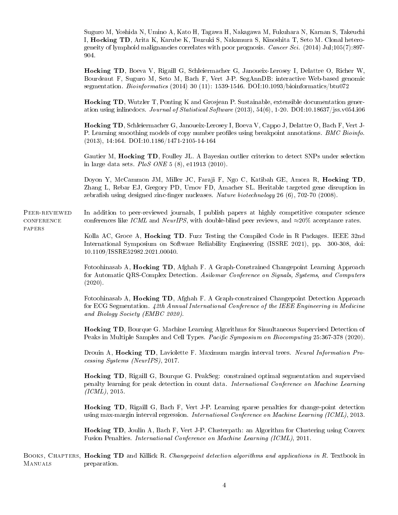Suguro M, Yoshida N, Umino A, Kato H, Tagawa H, Nakagawa M, Fukuhara N, Karnan S, Takeuchi I, Hocking TD, Arita K, Karube K, Tsuzuki S, Nakamura S, Kinoshita T, Seto M. Clonal heterogeneity of lymphoid malignancies correlates with poor prognosis. Cancer Sci. (2014) Jul;105(7):897- 904.

Hocking TD, Boeva V, Rigaill G, Schleiermacher G, Janoueix-Lerosey I, Delattre O, Richer W, Bourdeaut F, Suguro M, Seto M, Bach F, Vert J-P. SegAnnDB: interactive Web-based genomic segmentation. Bioinformatics (2014) 30 (11): 1539-1546. DOI:10.1093/bioinformatics/btu072

Hocking TD, Wutzler T, Ponting K and Grosjean P. Sustainable, extensible documentation generation using inlinedocs. Journal of Statistical Software  $(2013)$ , 54(6), 1-20. DOI:10.18637/jss.v054.i06

Hocking TD, Schleiermacher G, Janoueix-Lerosey I, Boeva V, Cappo J, Delattre O, Bach F, Vert J-P. Learning smoothing models of copy number profiles using breakpoint annotations. *BMC Bioinfo.* (2013), 14:164. DOI:10.1186/1471-2105-14-164

Gautier M, Hocking TD, Foulley JL. A Bayesian outlier criterion to detect SNPs under selection in large data sets. PloS ONE 5 (8), e11913 (2010).

Doyon Y, McCammon JM, Miller JC, Faraji F, Ngo C, Katibah GE, Amora R, Hocking TD, Zhang L, Rebar EJ, Gregory PD, Urnov FD, Amacher SL. Heritable targeted gene disruption in zebrafish using designed zinc-finger nucleases. Nature biotechnology  $26(6)$ , 702-70 (2008).

Peer-reviewed  $\mbox{CONFERENCE}$ papers In addition to peer-reviewed journals, I publish papers at highly competitive computer science conferences like ICML and NeurIPS, with double-blind peer reviews, and  $\approx 20\%$  acceptance rates.

> Kolla AC, Groce A, Hocking TD. Fuzz Testing the Compiled Code in R Packages. IEEE 32nd International Symposium on Software Reliability Engineering (ISSRE 2021), pp. 300-308, doi: 10.1109/ISSRE52982.2021.00040.

> Fotoohinasab A, Hocking TD, Afghah F. A Graph-Constrained Changepoint Learning Approach for Automatic QRS-Complex Detection. Asilomar Conference on Signals, Systems, and Computers (2020).

> Fotoohinasab A, Hocking TD, Afghah F. A Graph-constrained Changepoint Detection Approach for ECG Segmentation. 42th Annual International Conference of the IEEE Engineering in Medicine and Biology Society (EMBC 2020).

> Hocking TD, Bourque G. Machine Learning Algorithms for Simultaneous Supervised Detection of Peaks in Multiple Samples and Cell Types. Pacific Symposium on Biocomputing 25:367-378 (2020).

> Drouin A, Hocking TD, Laviolette F. Maximum margin interval trees. Neural Information Processing Systems (NeurIPS), 2017.

> Hocking TD, Rigaill G, Bourque G. PeakSeg: constrained optimal segmentation and supervised penalty learning for peak detection in count data. International Conference on Machine Learning  $(ICML)$ , 2015.

> Hocking TD, Rigaill G, Bach F, Vert J-P. Learning sparse penalties for change-point detection using max-margin interval regression. International Conference on Machine Learning (ICML), 2013.

> Hocking TD, Joulin A, Bach F, Vert J-P. Clusterpath: an Algorithm for Clustering using Convex Fusion Penalties. International Conference on Machine Learning (ICML), 2011.

BOOKS, CHAPTERS, Hocking TD and Killick R. Changepoint detection algorithms and applications in R. Textbook in **MANUALS** preparation.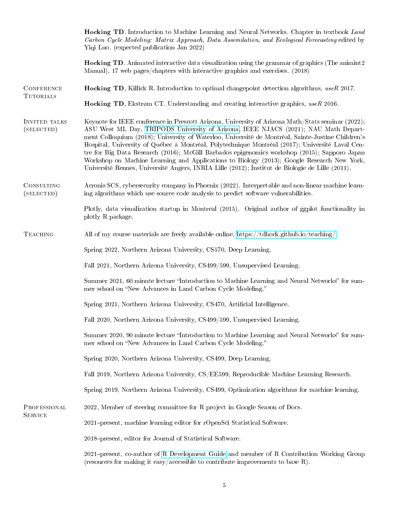|                                       | <b>Hocking TD</b> . Introduction to Machine Learning and Neural Networks. Chapter in textbook Land<br>Carbon Cycle Modeling: Matrix Approach, Data Assimilation, and Ecological Forecasting edited by<br>Yiqi Luo. (expected publication Jan 2022)                                                                                                                                                                                                                                                                                                                                                                                                                                                |  |  |
|---------------------------------------|---------------------------------------------------------------------------------------------------------------------------------------------------------------------------------------------------------------------------------------------------------------------------------------------------------------------------------------------------------------------------------------------------------------------------------------------------------------------------------------------------------------------------------------------------------------------------------------------------------------------------------------------------------------------------------------------------|--|--|
|                                       | <b>Hocking TD.</b> Animated interactive data visualization using the grammar of graphics (The animint2)<br>Manual), 17 web pages/chapters with interactive graphics and exercises. (2018)                                                                                                                                                                                                                                                                                                                                                                                                                                                                                                         |  |  |
| <b>CONFERENCE</b><br><b>TUTORIALS</b> | <b>Hocking TD</b> , Killick R. Introduction to optimal changepoint detection algorithms, useR 2017.                                                                                                                                                                                                                                                                                                                                                                                                                                                                                                                                                                                               |  |  |
|                                       | Hocking TD, Ekstrøm CT. Understanding and creating interactive graphics, useR 2016.                                                                                                                                                                                                                                                                                                                                                                                                                                                                                                                                                                                                               |  |  |
| INVITED TALKS<br>(SELECTED)           | Keynote for IEEE conference in Prescott Arizona, University of Arizona Math/Stats seminar (2022);<br>ASU West ML Day, TRIPODS University of Arizona, IEEE NJACS (2021); NAU Math Depart-<br>ment Colloquium (2018); University of Waterloo, Université de Montréal, Sainte-Justine Children's<br>Hospital, University of Québec à Montréal, Polytechnique Montréal (2017); Université Laval Cen-<br>tre for Big Data Research (2016); McGill Barbados epigenomics workshop (2015); Sapporo Japan<br>Workshop on Machine Learning and Applications to Biology (2013); Google Research New York,<br>Université Rennes, Université Angers, INRIA Lille (2012); Institut de Biologie de Lille (2011). |  |  |
| CONSULTING<br>(SELECTED)              | Acronis SCS, cybersecurity company in Phoenix (2022). Interpretable and non-linear machine learn-<br>ing algorithms which use source code analysis to predict software vulnerabilities.                                                                                                                                                                                                                                                                                                                                                                                                                                                                                                           |  |  |
|                                       | Plotly, data visualization startup in Montreal (2015). Original author of ggplot functionality in<br>plotly R package.                                                                                                                                                                                                                                                                                                                                                                                                                                                                                                                                                                            |  |  |
| <b>TEACHING</b>                       | All of my course materials are freely available online, https://tdhock.github.io/teaching/                                                                                                                                                                                                                                                                                                                                                                                                                                                                                                                                                                                                        |  |  |
|                                       | Spring 2022, Northern Arizona University, CS570, Deep Learning.                                                                                                                                                                                                                                                                                                                                                                                                                                                                                                                                                                                                                                   |  |  |
|                                       | Fall 2021, Northern Arizona University, CS499/599, Unsupervised Learning.                                                                                                                                                                                                                                                                                                                                                                                                                                                                                                                                                                                                                         |  |  |
|                                       | Summer 2021, 60 minute lecture "Introduction to Machine Learning and Neural Networks" for sum-<br>mer school on "New Advances in Land Carbon Cycle Modeling."                                                                                                                                                                                                                                                                                                                                                                                                                                                                                                                                     |  |  |
|                                       | Spring 2021, Northern Arizona University, CS470, Artificial Intelligence.                                                                                                                                                                                                                                                                                                                                                                                                                                                                                                                                                                                                                         |  |  |
|                                       | Fall 2020, Northern Arizona University, CS499/599, Unsupervised Learning.                                                                                                                                                                                                                                                                                                                                                                                                                                                                                                                                                                                                                         |  |  |
|                                       | Summer 2020, 90 minute lecture "Introduction to Machine Learning and Neural Networks" for sum-<br>mer school on "New Advances in Land Carbon Cycle Modeling."                                                                                                                                                                                                                                                                                                                                                                                                                                                                                                                                     |  |  |
|                                       | Spring 2020, Northern Arizona University, CS499, Deep Learning.                                                                                                                                                                                                                                                                                                                                                                                                                                                                                                                                                                                                                                   |  |  |
|                                       | Fall 2019, Northern Arizona University, CS/EE599, Reproducible Machine Learning Research.                                                                                                                                                                                                                                                                                                                                                                                                                                                                                                                                                                                                         |  |  |
|                                       | Spring 2019, Northern Arizona University, CS499, Optimization algorithms for machine learning.                                                                                                                                                                                                                                                                                                                                                                                                                                                                                                                                                                                                    |  |  |
| PROFESSIONAL<br><b>SERVICE</b>        | 2022, Member of steering committee for R project in Google Season of Docs.                                                                                                                                                                                                                                                                                                                                                                                                                                                                                                                                                                                                                        |  |  |
|                                       | 2021-present, machine learning editor for rOpenSci Statistical Software.                                                                                                                                                                                                                                                                                                                                                                                                                                                                                                                                                                                                                          |  |  |
|                                       | 2018-present, editor for Journal of Statistical Software.                                                                                                                                                                                                                                                                                                                                                                                                                                                                                                                                                                                                                                         |  |  |
|                                       | 2021–present, co-author of R Development Guide and member of R Contribution Working Group<br>(resources for making it easy/accessible to contribute improvements to base R).                                                                                                                                                                                                                                                                                                                                                                                                                                                                                                                      |  |  |